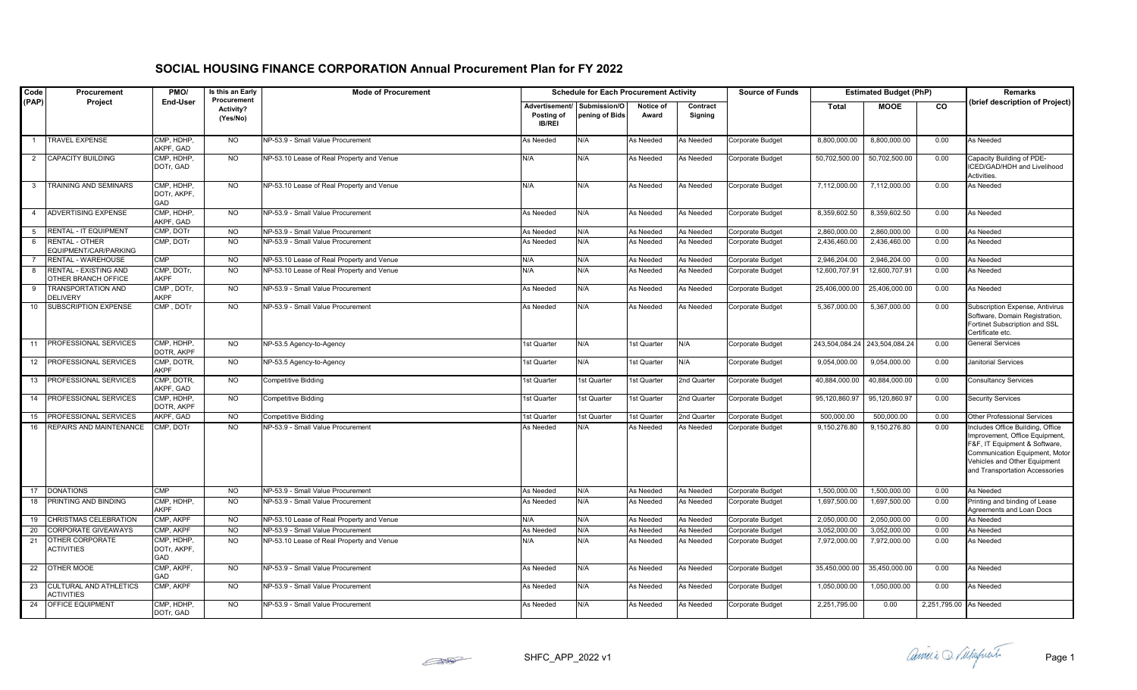| Code            | Procurement                                         | PMO/                             | Is this an Early                            | <b>Mode of Procurement</b>                | <b>Schedule for Each Procurement Activity</b> |                                |                    |                     | <b>Source of Funds</b> | <b>Estimated Budget (PhP)</b> |                               |                        | Remarks                                                                                                                                                                                                 |
|-----------------|-----------------------------------------------------|----------------------------------|---------------------------------------------|-------------------------------------------|-----------------------------------------------|--------------------------------|--------------------|---------------------|------------------------|-------------------------------|-------------------------------|------------------------|---------------------------------------------------------------------------------------------------------------------------------------------------------------------------------------------------------|
| (PAP)           | Project                                             | <b>End-User</b>                  | Procurement<br><b>Activity?</b><br>(Yes/No) |                                           | Advertisement/<br>Posting of<br><b>IB/REI</b> | Submission/O<br>pening of Bids | Notice of<br>Award | Contract<br>Signing |                        | Total                         | <b>MOOE</b>                   | CO                     | (brief description of Project)                                                                                                                                                                          |
|                 | <b>TRAVEL EXPENSE</b>                               | CMP, HDHP,<br>AKPF, GAD          | <b>NO</b>                                   | NP-53.9 - Small Value Procurement         | As Needed                                     | N/A                            | As Needed          | As Needed           | Corporate Budget       | 8,800,000.00                  | 8,800,000.00                  | 0.00                   | As Needed                                                                                                                                                                                               |
| 2               | <b>CAPACITY BUILDING</b>                            | CMP, HDHP,<br>DOTr, GAD          | <b>NO</b>                                   | NP-53.10 Lease of Real Property and Venue | N/A                                           | N/A                            | As Needed          | As Needed           | Corporate Budget       | 50,702,500.00                 | 50,702,500.00                 | 0.00                   | Capacity Building of PDE-<br>ICED/GAD/HDH and Livelihood<br>Activities.                                                                                                                                 |
| $\mathbf{3}$    | TRAINING AND SEMINARS                               | CMP, HDHP,<br>DOTr, AKPF,<br>GAD | <b>NO</b>                                   | NP-53.10 Lease of Real Property and Venue | N/A                                           | N/A                            | As Needed          | As Needed           | Corporate Budget       | 7,112,000.00                  | 7,112,000.00                  | 0.00                   | As Needed                                                                                                                                                                                               |
| $\overline{4}$  | <b>ADVERTISING EXPENSE</b>                          | CMP, HDHP,<br>AKPF, GAD          | <b>NO</b>                                   | NP-53.9 - Small Value Procurement         | As Needed                                     | N/A                            | As Needed          | As Needed           | Corporate Budget       | 8,359,602.50                  | 8,359,602.50                  | 0.00                   | As Needed                                                                                                                                                                                               |
| $5\overline{5}$ | <b>RENTAL - IT EQUIPMENT</b>                        | CMP, DOTr                        | <b>NO</b>                                   | NP-53.9 - Small Value Procurement         | As Needed                                     | N/A                            | As Needed          | As Needed           | Corporate Budget       | 2,860,000.00                  | 2,860,000.00                  | 0.00                   | As Needed                                                                                                                                                                                               |
| 6               | RENTAL - OTHER<br>EQUIPMENT/CAR/PARKING             | CMP, DOTr                        | N <sub>O</sub>                              | NP-53.9 - Small Value Procurement         | As Needed                                     | N/A                            | As Needed          | As Needed           | Corporate Budget       | 2,436,460.00                  | 2,436,460.00                  | 0.00                   | As Needed                                                                                                                                                                                               |
|                 | RENTAL - WAREHOUSE                                  | CMP                              | <b>NO</b>                                   | NP-53.10 Lease of Real Property and Venue | N/A                                           | N/A                            | As Needed          | As Needed           | Corporate Budget       | 2,946,204.00                  | 2,946,204.00                  | 0.00                   | As Needed                                                                                                                                                                                               |
| - 8             | <b>RENTAL - EXISTING AND</b><br>OTHER BRANCH OFFICE | CMP, DOTr,<br><b>AKPF</b>        | N <sub>O</sub>                              | NP-53.10 Lease of Real Property and Venue | N/A                                           | N/A                            | As Needed          | As Needed           | Corporate Budget       | 12,600,707.9                  | 12,600,707.91                 | 0.00                   | As Needed                                                                                                                                                                                               |
|                 | TRANSPORTATION AND<br><b>DELIVERY</b>               | CMP, DOTr,<br><b>AKPF</b>        | <b>NO</b>                                   | NP-53.9 - Small Value Procurement         | As Needed                                     | N/A                            | As Needed          | As Needed           | Corporate Budget       | 25,406,000.00                 | 25,406,000.00                 | 0.00                   | As Needed                                                                                                                                                                                               |
| 10              | SUBSCRIPTION EXPENSE                                | CMP, DOTr                        | <b>NO</b>                                   | NP-53.9 - Small Value Procurement         | As Needed                                     | N/A                            | As Needed          | As Needed           | Corporate Budget       | 5,367,000.00                  | 5,367,000.00                  | 0.00                   | Subscription Expense, Antivirus<br>Software, Domain Registration,<br>Fortinet Subscription and SSL<br>Certificate etc.                                                                                  |
|                 | 11 PROFESSIONAL SERVICES                            | CMP, HDHP,<br>DOTR, AKPF         | <b>NO</b>                                   | NP-53.5 Agency-to-Agency                  | 1st Quarter                                   | N/A                            | 1st Quarter        | N/A                 | Corporate Budget       |                               | 243,504,084.24 243,504,084.24 | 0.00                   | <b>General Services</b>                                                                                                                                                                                 |
|                 | 12 <b>PROFESSIONAL SERVICES</b>                     | CMP, DOTR,<br>AKPF               | NO.                                         | NP-53.5 Agency-to-Agency                  | 1st Quarter                                   | N/A                            | 1st Quarter        | N/A                 | Corporate Budget       | 9,054,000.00                  | 9,054,000.00                  | 0.00                   | Janitorial Services                                                                                                                                                                                     |
| 13              | <b>PROFESSIONAL SERVICES</b>                        | CMP, DOTR,<br>AKPF, GAD          | <b>NO</b>                                   | Competitive Bidding                       | 1st Quarter                                   | 1st Quarter                    | 1st Quarter        | 2nd Quarter         | Corporate Budget       | 40,884,000.00                 | 40,884,000.00                 | 0.00                   | <b>Consultancy Services</b>                                                                                                                                                                             |
| 14              | <b>PROFESSIONAL SERVICES</b>                        | CMP, HDHP<br>DOTR, AKPF          | <b>NO</b>                                   | Competitive Bidding                       | 1st Quarter                                   | 1st Quarter                    | 1st Quarter        | 2nd Quarter         | Corporate Budget       | 95,120,860.9                  | 95,120,860.9                  | 0.00                   | <b>Security Services</b>                                                                                                                                                                                |
| 15              | PROFESSIONAL SERVICES                               | AKPF, GAD                        | <b>NO</b>                                   | Competitive Bidding                       | 1st Quarter                                   | 1st Quarter                    | 1st Quarter        | 2nd Quarter         | Corporate Budget       | 500,000.00                    | 500,000.00                    | 0.00                   | Other Professional Services                                                                                                                                                                             |
| 16              | REPAIRS AND MAINTENANCE                             | CMP, DOTr                        | <b>NO</b>                                   | NP-53.9 - Small Value Procurement         | As Needed                                     | N/A                            | As Needed          | As Needed           | Corporate Budget       | 9,150,276.80                  | 9,150,276.80                  | 0.00                   | Includes Office Building, Office<br>Improvement, Office Equipment,<br>F&F, IT Equipment & Software,<br>Communication Equipment, Motor<br>Vehicles and Other Equipment<br>and Transportation Accessories |
| 17              | <b>DONATIONS</b>                                    | <b>CMP</b>                       | <b>NO</b>                                   | NP-53.9 - Small Value Procurement         | As Needed                                     | N/A                            | As Needed          | As Needed           | Corporate Budget       | 1,500,000.00                  | 1,500,000.00                  | 0.00                   | As Needed                                                                                                                                                                                               |
| 18              | PRINTING AND BINDING                                | CMP, HDHP,<br>AKPF               | <b>NO</b>                                   | NP-53.9 - Small Value Procurement         | As Needed                                     | N/A                            | As Needed          | As Needed           | Corporate Budget       | 1,697,500.00                  | 1,697,500.00                  | 0.00                   | Printing and binding of Lease<br>Agreements and Loan Docs                                                                                                                                               |
| 19              | CHRISTMAS CELEBRATION                               | CMP, AKPF                        | <b>NO</b>                                   | NP-53.10 Lease of Real Property and Venue | N/A                                           | N/A                            | As Needed          | As Needed           | Corporate Budget       | 2,050,000.00                  | 2,050,000.00                  | 0.00                   | As Needed                                                                                                                                                                                               |
| 20              | <b>CORPORATE GIVEAWAYS</b>                          | CMP. AKPF                        | <b>NO</b>                                   | NP-53.9 - Small Value Procurement         | As Needed                                     | N/A                            | As Needed          | As Needed           | Corporate Budget       | 3,052,000.00                  | 3,052,000.00                  | 0.00                   | As Needed                                                                                                                                                                                               |
| 21              | OTHER CORPORATE<br><b>ACTIVITIES</b>                | CMP, HDHP,<br>DOTr, AKPF,<br>GAD | <b>NO</b>                                   | NP-53.10 Lease of Real Property and Venue | N/A                                           | N/A                            | As Needed          | As Needed           | Corporate Budget       | 7,972,000.00                  | 7,972,000.00                  | 0.00                   | As Needed                                                                                                                                                                                               |
| 22              | OTHER MOOE                                          | CMP, AKPF,<br>GAD                | <b>NO</b>                                   | NP-53.9 - Small Value Procurement         | As Needed                                     | N/A                            | As Needed          | As Needed           | Corporate Budget       | 35,450,000.00                 | 35,450,000.00                 | 0.00                   | As Needed                                                                                                                                                                                               |
| 23              | CULTURAL AND ATHLETICS<br><b>ACTIVITIES</b>         | CMP, AKPF                        | N <sub>O</sub>                              | NP-53.9 - Small Value Procurement         | As Needed                                     | N/A                            | As Needed          | As Needed           | Corporate Budget       | 1,050,000.00                  | 1,050,000.00                  | 0.00                   | As Needed                                                                                                                                                                                               |
| 24              | <b>OFFICE EQUIPMENT</b>                             | CMP, HDHP,<br>DOTr, GAD          | <b>NO</b>                                   | NP-53.9 - Small Value Procurement         | As Needed                                     | N/A                            | As Needed          | As Needed           | Corporate Budget       | 2,251,795.00                  | 0.00                          | 2,251,795.00 As Needed |                                                                                                                                                                                                         |

## **SOCIAL HOUSING FINANCE CORPORATION Annual Procurement Plan for FY 2022**



SHFC\_APP\_2022 v1 Page 1